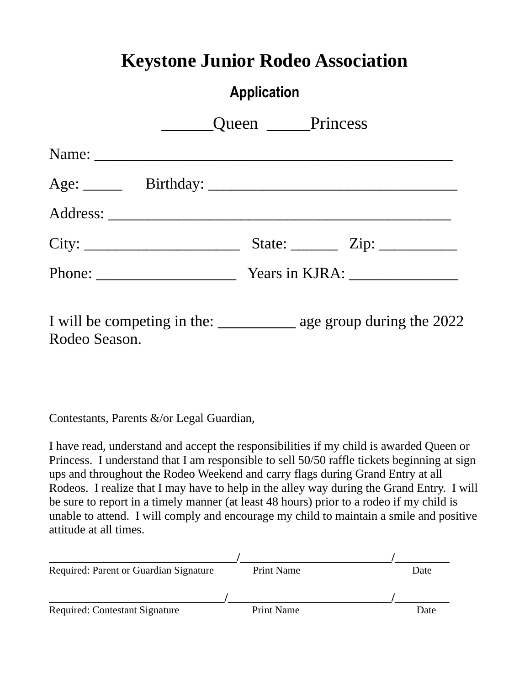### **Keystone Junior Rodeo Association**

### **Application**

|                                                                        | Queen Princess |                                                            |
|------------------------------------------------------------------------|----------------|------------------------------------------------------------|
|                                                                        |                |                                                            |
|                                                                        |                |                                                            |
|                                                                        |                |                                                            |
| City:                                                                  |                | State: $\frac{\text{Zip: } }{ \text{ Lip: } \text{ // } }$ |
|                                                                        |                |                                                            |
| I will be competing in the: ________________ age group during the 2022 |                |                                                            |

Contestants, Parents &/or Legal Guardian,

Rodeo Season.

I have read, understand and accept the responsibilities if my child is awarded Queen or Princess. I understand that I am responsible to sell 50/50 raffle tickets beginning at sign ups and throughout the Rodeo Weekend and carry flags during Grand Entry at all Rodeos. I realize that I may have to help in the alley way during the Grand Entry. I will be sure to report in a timely manner (at least 48 hours) prior to a rodeo if my child is unable to attend. I will comply and encourage my child to maintain a smile and positive attitude at all times.

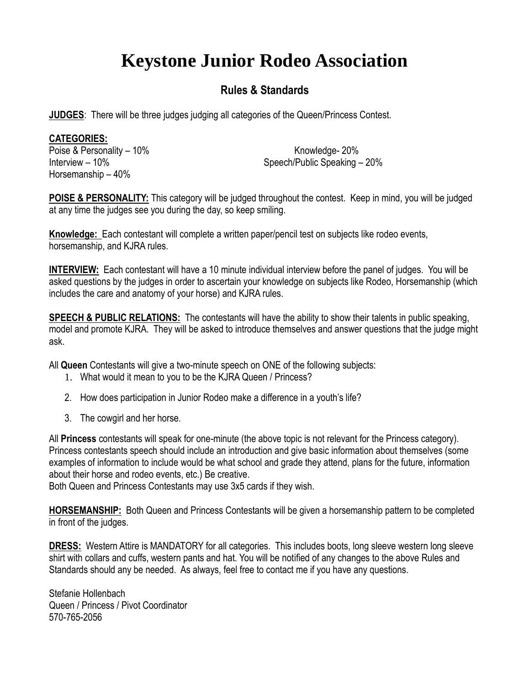# **Keystone Junior Rodeo Association**

#### **Rules & Standards**

**JUDGES**: There will be three judges judging all categories of the Queen/Princess Contest.

#### **CATEGORIES:**

Poise & Personality – 10% and the contract of the Knowledge- 20% Horsemanship – 40%

Interview – 10% Speech/Public Speaking – 20%

**POISE & PERSONALITY:** This category will be judged throughout the contest. Keep in mind, you will be judged at any time the judges see you during the day, so keep smiling.

**Knowledge:** Each contestant will complete a written paper/pencil test on subjects like rodeo events, horsemanship, and KJRA rules.

**INTERVIEW:** Each contestant will have a 10 minute individual interview before the panel of judges. You will be asked questions by the judges in order to ascertain your knowledge on subjects like Rodeo, Horsemanship (which includes the care and anatomy of your horse) and KJRA rules.

**SPEECH & PUBLIC RELATIONS:** The contestants will have the ability to show their talents in public speaking, model and promote KJRA. They will be asked to introduce themselves and answer questions that the judge might ask.

All **Queen** Contestants will give a two-minute speech on ONE of the following subjects:

- 1. What would it mean to you to be the KJRA Queen / Princess?
- 2. How does participation in Junior Rodeo make a difference in a youth's life?
- 3. The cowgirl and her horse.

All **Princess** contestants will speak for one-minute (the above topic is not relevant for the Princess category). Princess contestants speech should include an introduction and give basic information about themselves (some examples of information to include would be what school and grade they attend, plans for the future, information about their horse and rodeo events, etc.) Be creative.

Both Queen and Princess Contestants may use 3x5 cards if they wish.

**HORSEMANSHIP:** Both Queen and Princess Contestants will be given a horsemanship pattern to be completed in front of the judges.

**DRESS:** Western Attire is MANDATORY for all categories. This includes boots, long sleeve western long sleeve shirt with collars and cuffs, western pants and hat. You will be notified of any changes to the above Rules and Standards should any be needed. As always, feel free to contact me if you have any questions.

Stefanie Hollenbach Queen / Princess / Pivot Coordinator 570-765-2056